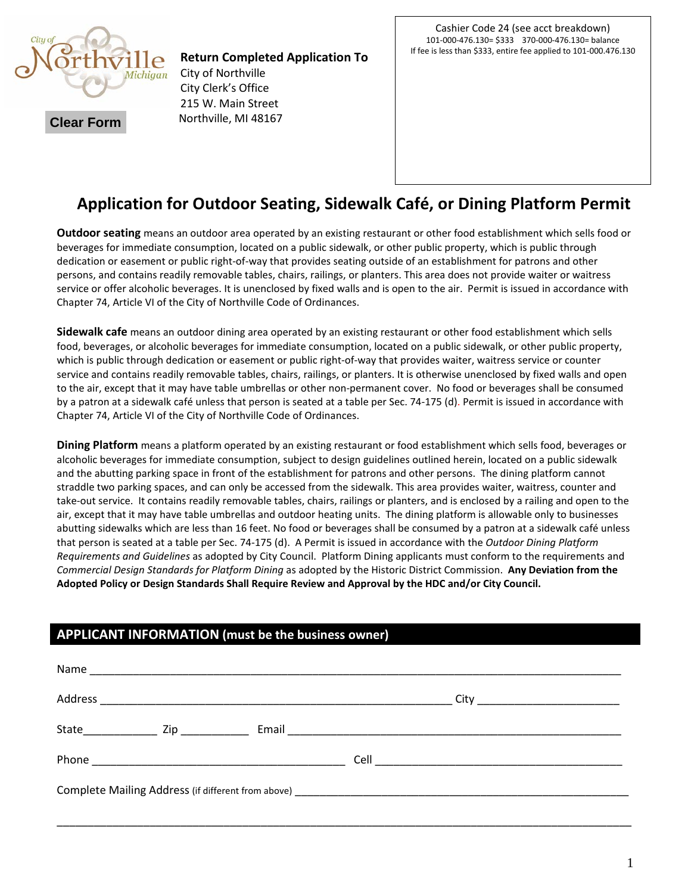

**Return Completed Application To**  City of Northville City Clerk's Office 215 W. Main Street Northville, MI 48167

# **Application for Outdoor Seating, Sidewalk Café, or Dining Platform Permit**

**Outdoor seating** means an outdoor area operated by an existing restaurant or other food establishment which sells food or beverages for immediate consumption, located on a public sidewalk, or other public property, which is public through dedication or easement or public right-of-way that provides seating outside of an establishment for patrons and other persons, and contains readily removable tables, chairs, railings, or planters. This area does not provide waiter or waitress service or offer alcoholic beverages. It is unenclosed by fixed walls and is open to the air. Permit is issued in accordance with Chapter 74, Article VI of the City of Northville Code of Ordinances.

**Sidewalk cafe** means an outdoor dining area operated by an existing restaurant or other food establishment which sells food, beverages, or alcoholic beverages for immediate consumption, located on a public sidewalk, or other public property, which is public through dedication or easement or public right-of-way that provides waiter, waitress service or counter service and contains readily removable tables, chairs, railings, or planters. It is otherwise unenclosed by fixed walls and open to the air, except that it may have table umbrellas or other non-permanent cover. No food or beverages shall be consumed by a patron at a sidewalk café unless that person is seated at a table per Sec. 74-175 (d). Permit is issued in accordance with Chapter 74, Article VI of the City of Northville Code of Ordinances.

**Dining Platform** means a platform operated by an existing restaurant or food establishment which sells food, beverages or alcoholic beverages for immediate consumption, subject to design guidelines outlined herein, located on a public sidewalk and the abutting parking space in front of the establishment for patrons and other persons. The dining platform cannot straddle two parking spaces, and can only be accessed from the sidewalk. This area provides waiter, waitress, counter and take-out service. It contains readily removable tables, chairs, railings or planters, and is enclosed by a railing and open to the air, except that it may have table umbrellas and outdoor heating units. The dining platform is allowable only to businesses abutting sidewalks which are less than 16 feet. No food or beverages shall be consumed by a patron at a sidewalk café unless that person is seated at a table per Sec. 74-175 (d). A Permit is issued in accordance with the *Outdoor Dining Platform Requirements and Guidelines* as adopted by City Council. Platform Dining applicants must conform to the requirements and *Commercial Design Standards for Platform Dining* as adopted by the Historic District Commission. **Any Deviation from the Adopted Policy or Design Standards Shall Require Review and Approval by the HDC and/or City Council.** 

## **APPLICANT INFORMATION (must be the business owner)**

| Email 2008 - 2008 - 2008 - 2019 - 2019 - 2019 - 2019 - 2019 - 2019 - 2019 - 2019 - 2019 - 2019 - 2019 - 2019 - |
|----------------------------------------------------------------------------------------------------------------|
|                                                                                                                |
|                                                                                                                |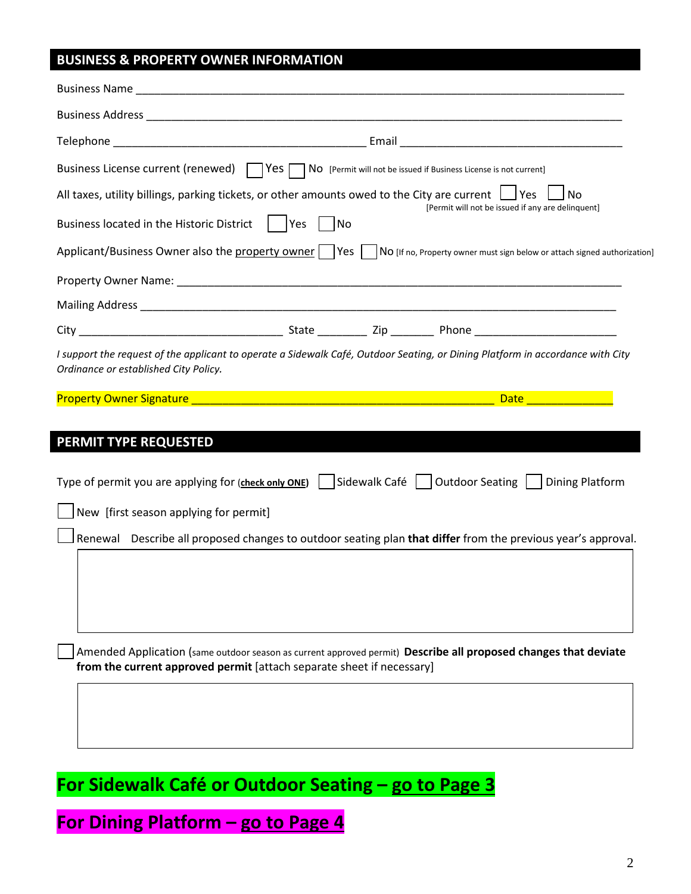# **BUSINESS & PROPERTY OWNER INFORMATION**

| Business License current (renewed)   $ Yes \cap No$ [Permit will not be issued if Business License is not current]                                                                       |
|------------------------------------------------------------------------------------------------------------------------------------------------------------------------------------------|
| All taxes, utility billings, parking tickets, or other amounts owed to the City are current $\Box$ Yes<br>No                                                                             |
| [Permit will not be issued if any are delinquent]<br>Business located in the Historic District     Yes   No                                                                              |
| Applicant/Business Owner also the property owner     Yes     No [If no, Property owner must sign below or attach signed authorization]                                                   |
|                                                                                                                                                                                          |
|                                                                                                                                                                                          |
|                                                                                                                                                                                          |
| I support the request of the applicant to operate a Sidewalk Café, Outdoor Seating, or Dining Platform in accordance with City<br>Ordinance or established City Policy.                  |
| <b>Date <i>Continued by Date</i></b>                                                                                                                                                     |
| PERMIT TYPE REQUESTED<br>Sidewalk Café     Outdoor Seating     Dining Platform<br>Type of permit you are applying for (check only ONE)                                                   |
| New [first season applying for permit]                                                                                                                                                   |
| Renewal Describe all proposed changes to outdoor seating plan that differ from the previous year's approval.                                                                             |
| Amended Application (same outdoor season as current approved permit) Describe all proposed changes that deviate<br>from the current approved permit [attach separate sheet if necessary] |

**For Sidewalk Café or Outdoor Seating – go to Page 3**

**For Dining Platform – go to Page 4**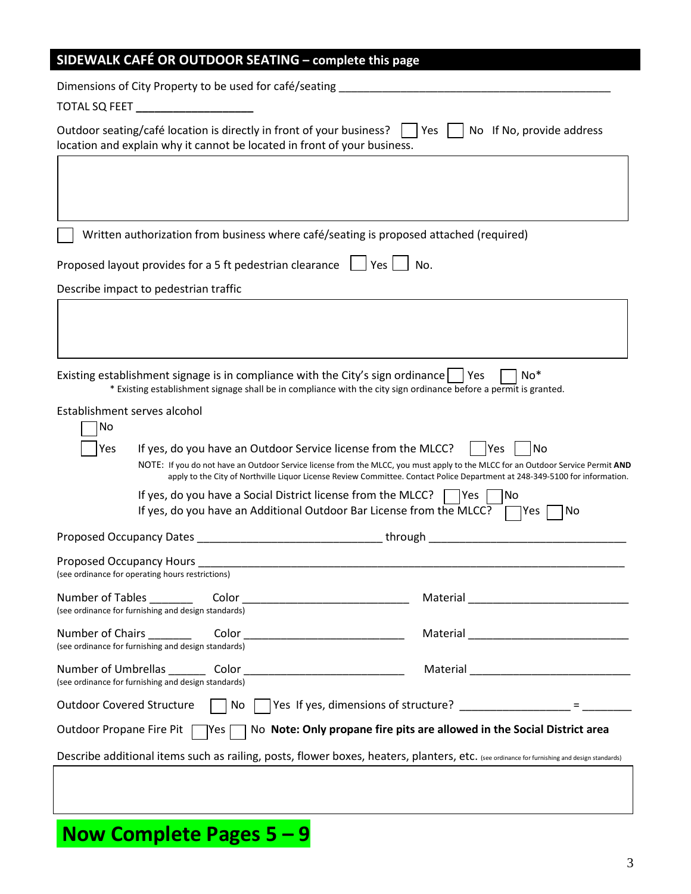| SIDEWALK CAFÉ OR OUTDOOR SEATING - complete this page                                                                                                                                                                                                                                                                                                                                            |                                                                                                                                                                       |
|--------------------------------------------------------------------------------------------------------------------------------------------------------------------------------------------------------------------------------------------------------------------------------------------------------------------------------------------------------------------------------------------------|-----------------------------------------------------------------------------------------------------------------------------------------------------------------------|
| Dimensions of City Property to be used for café/seating                                                                                                                                                                                                                                                                                                                                          |                                                                                                                                                                       |
|                                                                                                                                                                                                                                                                                                                                                                                                  |                                                                                                                                                                       |
| Outdoor seating/café location is directly in front of your business?<br>location and explain why it cannot be located in front of your business.                                                                                                                                                                                                                                                 | Yes    <br>No If No, provide address                                                                                                                                  |
|                                                                                                                                                                                                                                                                                                                                                                                                  |                                                                                                                                                                       |
| Written authorization from business where café/seating is proposed attached (required)                                                                                                                                                                                                                                                                                                           |                                                                                                                                                                       |
| Proposed layout provides for a 5 ft pedestrian clearance $\Box$ Yes $\Box$ No.                                                                                                                                                                                                                                                                                                                   |                                                                                                                                                                       |
| Describe impact to pedestrian traffic                                                                                                                                                                                                                                                                                                                                                            |                                                                                                                                                                       |
|                                                                                                                                                                                                                                                                                                                                                                                                  |                                                                                                                                                                       |
| Existing establishment signage is in compliance with the City's sign ordinance   Yes<br>* Existing establishment signage shall be in compliance with the city sign ordinance before a permit is granted.                                                                                                                                                                                         | $No*$                                                                                                                                                                 |
| Establishment serves alcohol<br>No<br>Yes<br>If yes, do you have an Outdoor Service license from the MLCC?<br>NOTE: If you do not have an Outdoor Service license from the MLCC, you must apply to the MLCC for an Outdoor Service Permit AND<br>If yes, do you have a Social District license from the MLCC?<br>If yes, do you have an Additional Outdoor Bar License from the MLCC? $\Box$ Yes | No<br><b>Yes</b><br>apply to the City of Northville Liquor License Review Committee. Contact Police Department at 248-349-5100 for information.<br> Yes <br> No<br>No |
| Proposed Occupancy Dates                                                                                                                                                                                                                                                                                                                                                                         | through                                                                                                                                                               |
| Proposed Occupancy Hours<br>(see ordinance for operating hours restrictions)                                                                                                                                                                                                                                                                                                                     |                                                                                                                                                                       |
| (see ordinance for furnishing and design standards)                                                                                                                                                                                                                                                                                                                                              |                                                                                                                                                                       |
| (see ordinance for furnishing and design standards)                                                                                                                                                                                                                                                                                                                                              |                                                                                                                                                                       |
| (see ordinance for furnishing and design standards)                                                                                                                                                                                                                                                                                                                                              |                                                                                                                                                                       |
| <b>Outdoor Covered Structure</b>                                                                                                                                                                                                                                                                                                                                                                 | No $\Box$ Yes If yes, dimensions of structure? _________________ = ____________                                                                                       |
| Outdoor Propane Fire Pit   Yes   No Note: Only propane fire pits are allowed in the Social District area                                                                                                                                                                                                                                                                                         |                                                                                                                                                                       |
| Describe additional items such as railing, posts, flower boxes, heaters, planters, etc. (see ordinance for furnishing and design standards)                                                                                                                                                                                                                                                      |                                                                                                                                                                       |
|                                                                                                                                                                                                                                                                                                                                                                                                  |                                                                                                                                                                       |

**Now Complete Pages 5 – 9**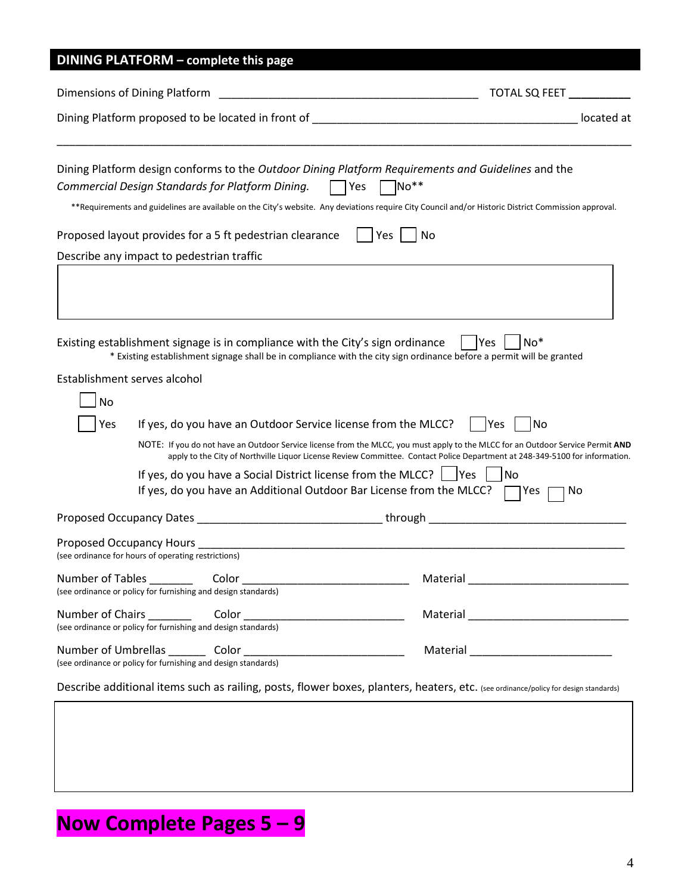# **DINING PLATFORM – complete this page**

| Dimensions of Dining Platform                                                   |                                                                                | TOTAL SQ FEET                                                                                                                                                                                                                                                              |            |
|---------------------------------------------------------------------------------|--------------------------------------------------------------------------------|----------------------------------------------------------------------------------------------------------------------------------------------------------------------------------------------------------------------------------------------------------------------------|------------|
|                                                                                 |                                                                                |                                                                                                                                                                                                                                                                            | located at |
|                                                                                 | Commercial Design Standards for Platform Dining.                               | Dining Platform design conforms to the Outdoor Dining Platform Requirements and Guidelines and the<br>No**<br>∏Yes<br>**Requirements and guidelines are available on the City's website. Any deviations require City Council and/or Historic District Commission approval. |            |
|                                                                                 | Proposed layout provides for a 5 ft pedestrian clearance                       | Yes<br>No                                                                                                                                                                                                                                                                  |            |
| Describe any impact to pedestrian traffic                                       |                                                                                |                                                                                                                                                                                                                                                                            |            |
|                                                                                 |                                                                                |                                                                                                                                                                                                                                                                            |            |
|                                                                                 | Existing establishment signage is in compliance with the City's sign ordinance | $No*$<br>lYes<br>* Existing establishment signage shall be in compliance with the city sign ordinance before a permit will be granted                                                                                                                                      |            |
| Establishment serves alcohol                                                    |                                                                                |                                                                                                                                                                                                                                                                            |            |
| No                                                                              |                                                                                |                                                                                                                                                                                                                                                                            |            |
| Yes                                                                             | If yes, do you have an Outdoor Service license from the MLCC?                  | Yes<br>l No                                                                                                                                                                                                                                                                |            |
|                                                                                 |                                                                                | NOTE: If you do not have an Outdoor Service license from the MLCC, you must apply to the MLCC for an Outdoor Service Permit AND<br>apply to the City of Northville Liquor License Review Committee. Contact Police Department at 248-349-5100 for information.             |            |
|                                                                                 | If yes, do you have a Social District license from the MLCC? $\Box$ Yes        | No<br>If yes, do you have an Additional Outdoor Bar License from the MLCC? $\Box$ Yes                                                                                                                                                                                      | No.        |
|                                                                                 |                                                                                | Proposed Occupancy Dates ___________________________________through ________________________________                                                                                                                                                                       |            |
| Proposed Occupancy Hours<br>(see ordinance for hours of operating restrictions) |                                                                                |                                                                                                                                                                                                                                                                            |            |
| Number of Tables Color                                                          | (see ordinance or policy for furnishing and design standards)                  | Material                                                                                                                                                                                                                                                                   |            |
|                                                                                 | (see ordinance or policy for furnishing and design standards)                  |                                                                                                                                                                                                                                                                            |            |
|                                                                                 | (see ordinance or policy for furnishing and design standards)                  |                                                                                                                                                                                                                                                                            |            |

Describe additional items such as railing, posts, flower boxes, planters, heaters, etc. (see ordinance/policy for design standards)

# **Now Complete Pages 5 – 9**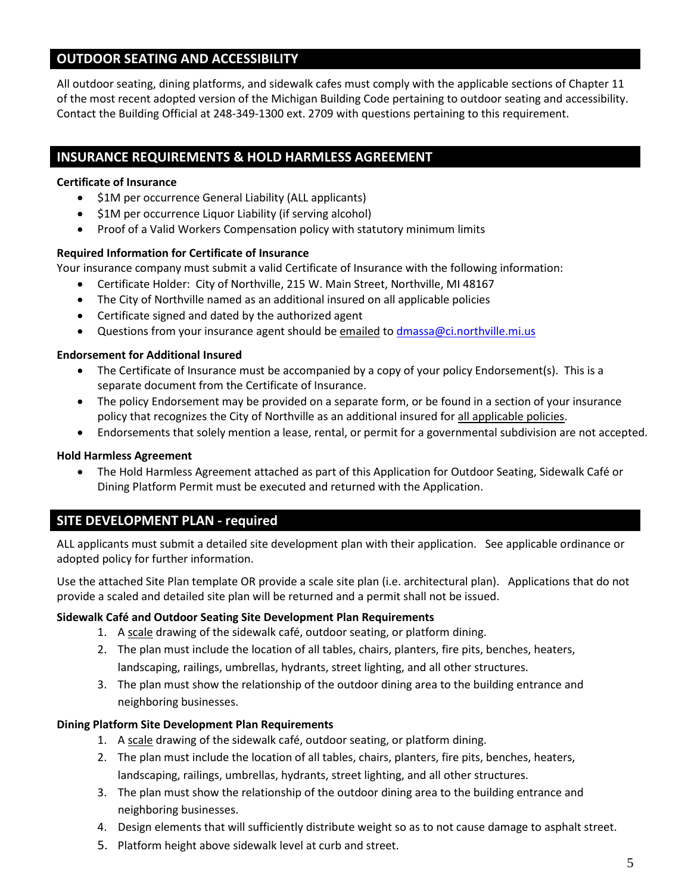## **OUTDOOR SEATING AND ACCESSIBILITY**

All outdoor seating, dining platforms, and sidewalk cafes must comply with the applicable sections of Chapter 11 of the most recent adopted version of the Michigan Building Code pertaining to outdoor seating and accessibility. Contact the Building Official at 248-349-1300 ext. 2709 with questions pertaining to this requirement.

## **INSURANCE REQUIREMENTS & HOLD HARMLESS AGREEMENT**

#### **Certificate of Insurance**

- \$1M per occurrence General Liability (ALL applicants)
- \$1M per occurrence Liquor Liability (if serving alcohol)
- Proof of a Valid Workers Compensation policy with statutory minimum limits

#### **Required Information for Certificate of Insurance**

Your insurance company must submit a valid Certificate of Insurance with the following information:

- Certificate Holder: City of Northville, 215 W. Main Street, Northville, MI 48167
- The City of Northville named as an additional insured on all applicable policies
- Certificate signed and dated by the authorized agent
- Questions from your insurance agent should be emailed to [dmassa@ci.northville.mi.us](mailto:dmassa@ci.northville.mi.us)

#### **Endorsement for Additional Insured**

- The Certificate of Insurance must be accompanied by a copy of your policy Endorsement(s). This is a separate document from the Certificate of Insurance.
- The policy Endorsement may be provided on a separate form, or be found in a section of your insurance policy that recognizes the City of Northville as an additional insured for all applicable policies.
- Endorsements that solely mention a lease, rental, or permit for a governmental subdivision are not accepted.

#### **Hold Harmless Agreement**

• The Hold Harmless Agreement attached as part of this Application for Outdoor Seating, Sidewalk Café or Dining Platform Permit must be executed and returned with the Application.

## **SITE DEVELOPMENT PLAN - required**

ALL applicants must submit a detailed site development plan with their application. See applicable ordinance or adopted policy for further information.

Use the attached Site Plan template OR provide a scale site plan (i.e. architectural plan). Applications that do not provide a scaled and detailed site plan will be returned and a permit shall not be issued.

#### **Sidewalk Café and Outdoor Seating Site Development Plan Requirements**

- 1. A scale drawing of the sidewalk café, outdoor seating, or platform dining.
- 2. The plan must include the location of all tables, chairs, planters, fire pits, benches, heaters, landscaping, railings, umbrellas, hydrants, street lighting, and all other structures.
- 3. The plan must show the relationship of the outdoor dining area to the building entrance and neighboring businesses.

#### **Dining Platform Site Development Plan Requirements**

- 1. A scale drawing of the sidewalk café, outdoor seating, or platform dining.
- 2. The plan must include the location of all tables, chairs, planters, fire pits, benches, heaters, landscaping, railings, umbrellas, hydrants, street lighting, and all other structures.
- 3. The plan must show the relationship of the outdoor dining area to the building entrance and neighboring businesses.
- 4. Design elements that will sufficiently distribute weight so as to not cause damage to asphalt street.
- 5. Platform height above sidewalk level at curb and street.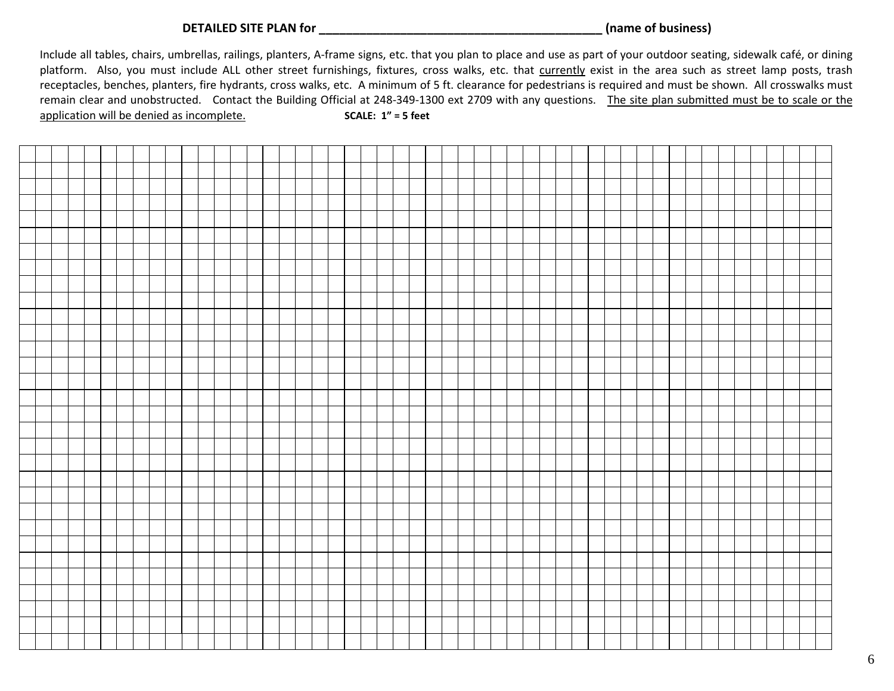**DETAILED SITE PLAN for \_\_\_\_\_\_\_\_\_\_\_\_\_\_\_\_\_\_\_\_\_\_\_\_\_\_\_\_\_\_\_\_\_\_\_\_\_\_\_\_\_\_ (name of business)**

Include all tables, chairs, umbrellas, railings, planters, A-frame signs, etc. that you plan to place and use as part of your outdoor seating, sidewalk café, or dining platform. Also, you must include ALL other street furnishings, fixtures, cross walks, etc. that currently exist in the area such as street lamp posts, trash receptacles, benches, planters, fire hydrants, cross walks, etc. A minimum of 5 ft. clearance for pedestrians is required and must be shown. All crosswalks must remain clear and unobstructed. Contact the Building Official at 248-349-1300 ext 2709 with any questions. The site plan submitted must be to scale or the application will be denied as incomplete. **SCALE: 1" = 5 feet**

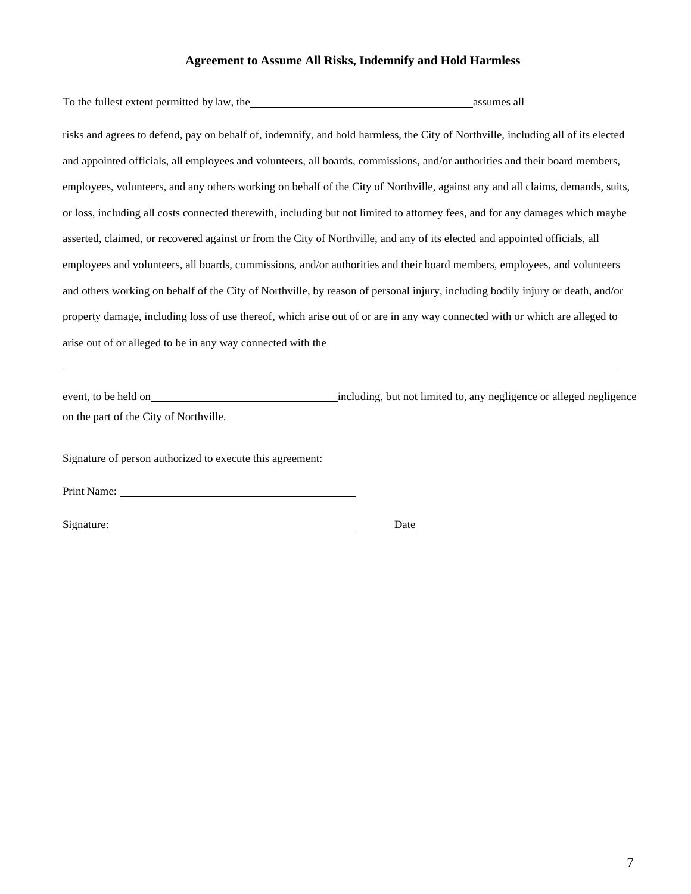#### **Agreement to Assume All Risks, Indemnify and Hold Harmless**

| To the fullest extent permitted by law, the                                                                                      | assumes all |
|----------------------------------------------------------------------------------------------------------------------------------|-------------|
| risks and agrees to defend, pay on behalf of, indemnify, and hold harmless, the City of Northville, including all of its elected |             |
| and appointed officials, all employees and volunteers, all boards, commissions, and/or authorities and their board members,      |             |
| employees, volunteers, and any others working on behalf of the City of Northville, against any and all claims, demands, suits,   |             |
| or loss, including all costs connected therewith, including but not limited to attorney fees, and for any damages which maybe    |             |
| asserted, claimed, or recovered against or from the City of Northville, and any of its elected and appointed officials, all      |             |
| employees and volunteers, all boards, commissions, and/or authorities and their board members, employees, and volunteers         |             |
| and others working on behalf of the City of Northville, by reason of personal injury, including bodily injury or death, and/or   |             |
| property damage, including loss of use thereof, which arise out of or are in any way connected with or which are alleged to      |             |
| arise out of or alleged to be in any way connected with the                                                                      |             |
|                                                                                                                                  |             |

event, to be held on including, but not limited to, any negligence or alleged negligence on the part of the City of Northville.

Signature of person authorized to execute this agreement:

Print Name:

Signature: Date Date Date Date Date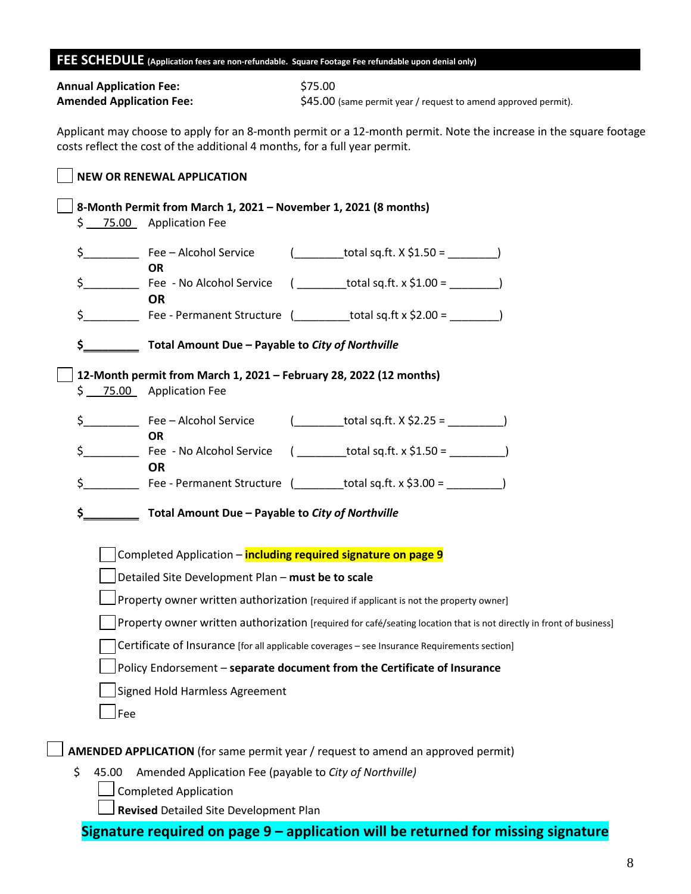#### **FEE SCHEDULE (Application fees are non-refundable. Square Footage Fee refundable upon denial only)**

| <b>Annual Application Fee:</b>  | \$75.00                                                        |
|---------------------------------|----------------------------------------------------------------|
| <b>Amended Application Fee:</b> | \$45.00 (same permit year / request to amend approved permit). |

Applicant may choose to apply for an 8-month permit or a 12-month permit. Note the increase in the square footage costs reflect the cost of the additional 4 months, for a full year permit.

# **NEW OR RENEWAL APPLICATION**

|               | \$ 75.00 Application Fee                          | 8-Month Permit from March 1, 2021 - November 1, 2021 (8 months)                                                     |
|---------------|---------------------------------------------------|---------------------------------------------------------------------------------------------------------------------|
| $\zeta$       | Fee - Alcohol Service<br><b>OR</b>                |                                                                                                                     |
| \$            | Fee - No Alcohol Service<br><b>OR</b>             |                                                                                                                     |
| $\frac{1}{2}$ |                                                   |                                                                                                                     |
| \$_           | Total Amount Due - Payable to City of Northville  |                                                                                                                     |
|               | \$ 75.00 Application Fee                          | 12-Month permit from March 1, 2021 - February 28, 2022 (12 months)                                                  |
| $\zeta$       | Fee - Alcohol Service<br><b>OR</b>                | $(\_\_\_\_$ total sq.ft. X \$2.25 = $\_\_\_\_\_$                                                                    |
| $\frac{1}{2}$ | <b>OR</b>                                         | Fee - No Alcohol Service $($ __________total sq.ft. x \$1.50 = ____________)                                        |
| $\zeta$       |                                                   |                                                                                                                     |
| \$.           | Total Amount Due - Payable to City of Northville  |                                                                                                                     |
|               |                                                   | Completed Application - including required signature on page 9                                                      |
|               | Detailed Site Development Plan - must be to scale |                                                                                                                     |
|               |                                                   | Property owner written authorization [required if applicant is not the property owner]                              |
|               |                                                   | Property owner written authorization [required for café/seating location that is not directly in front of business] |
|               |                                                   | Certificate of Insurance [for all applicable coverages - see Insurance Requirements section]                        |
|               |                                                   | Policy Endorsement - separate document from the Certificate of Insurance                                            |
|               | <b>Signed Hold Harmless Agreement</b>             |                                                                                                                     |
|               |                                                   |                                                                                                                     |
| Fee           |                                                   |                                                                                                                     |

- \$ 45.00 Amended Application Fee (payable to *City of Northville)*
	- Completed Application

**Revised** Detailed Site Development Plan

**Signature required on page 9 – application will be returned for missing signature**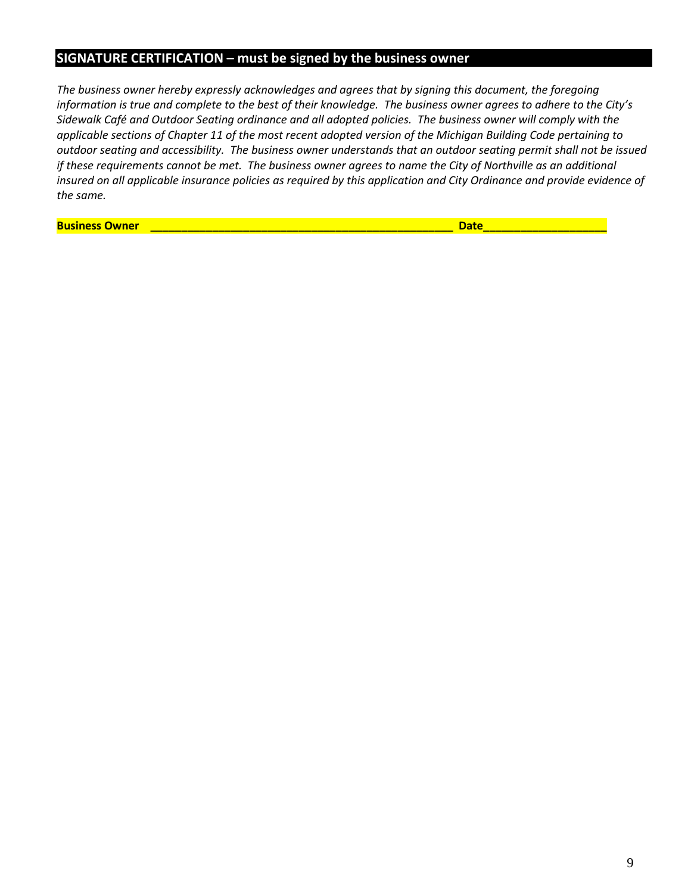## **SIGNATURE CERTIFICATION – must be signed by the business owner**

*The business owner hereby expressly acknowledges and agrees that by signing this document, the foregoing information is true and complete to the best of their knowledge. The business owner agrees to adhere to the City's Sidewalk Café and Outdoor Seating ordinance and all adopted policies. The business owner will comply with the applicable sections of Chapter 11 of the most recent adopted version of the Michigan Building Code pertaining to outdoor seating and accessibility. The business owner understands that an outdoor seating permit shall not be issued if these requirements cannot be met. The business owner agrees to name the City of Northville as an additional insured on all applicable insurance policies as required by this application and City Ordinance and provide evidence of the same.*

**Business Owner \_\_\_\_\_\_\_\_\_\_\_\_\_\_\_\_\_\_\_\_\_\_\_\_\_\_\_\_\_\_\_\_\_\_\_\_\_\_\_\_\_\_\_\_\_\_\_\_\_ Date\_\_\_\_\_\_\_\_\_\_\_\_\_\_\_\_\_\_\_\_**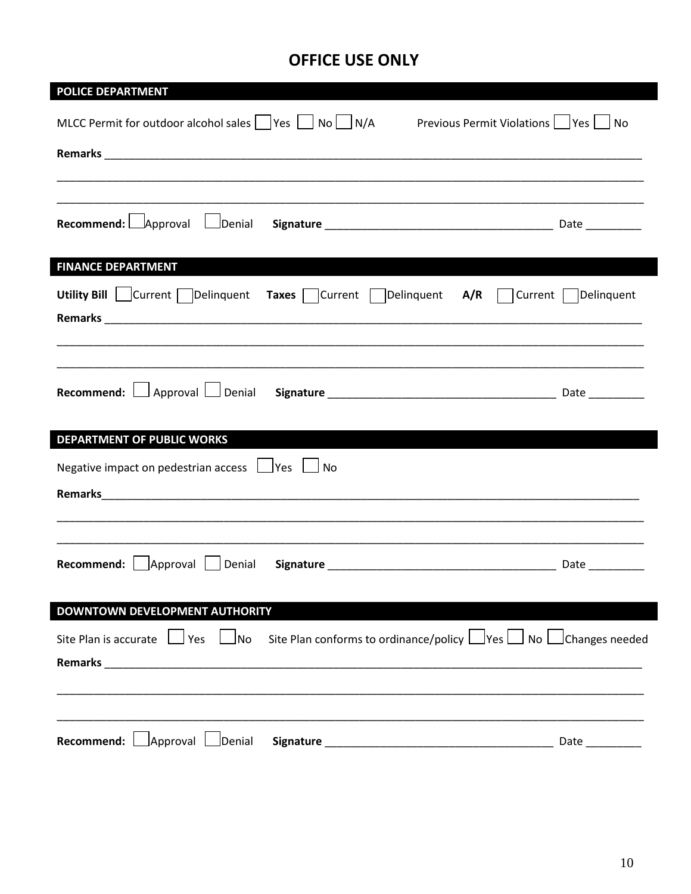# **OFFICE USE ONLY**

| <b>POLICE DEPARTMENT</b>                                                                                                     |  |
|------------------------------------------------------------------------------------------------------------------------------|--|
| MLCC Permit for outdoor alcohol sales $ $   Yes $ $   No     N/A<br>Previous Permit Violations     Yes     No                |  |
|                                                                                                                              |  |
|                                                                                                                              |  |
| Recommend: $\Box$ Approval<br>Denial                                                                                         |  |
| <b>FINANCE DEPARTMENT</b>                                                                                                    |  |
| Utility Bill   Current   Delinquent Taxes   Current   Delinquent A/R   Current   Delinquent                                  |  |
|                                                                                                                              |  |
|                                                                                                                              |  |
| <b>DEPARTMENT OF PUBLIC WORKS</b>                                                                                            |  |
| Negative impact on pedestrian access $\Box$ Yes $\Box$ No                                                                    |  |
|                                                                                                                              |  |
|                                                                                                                              |  |
|                                                                                                                              |  |
| DOWNTOWN DEVELOPMENT AUTHORITY                                                                                               |  |
| Site Plan is accurate $\Box$ Yes $\Box$ No Site Plan conforms to ordinance/policy $\Box$ Yes $\Box$ No $\Box$ Changes needed |  |
|                                                                                                                              |  |
|                                                                                                                              |  |
|                                                                                                                              |  |
| Recommend:   Approval   Denial                                                                                               |  |